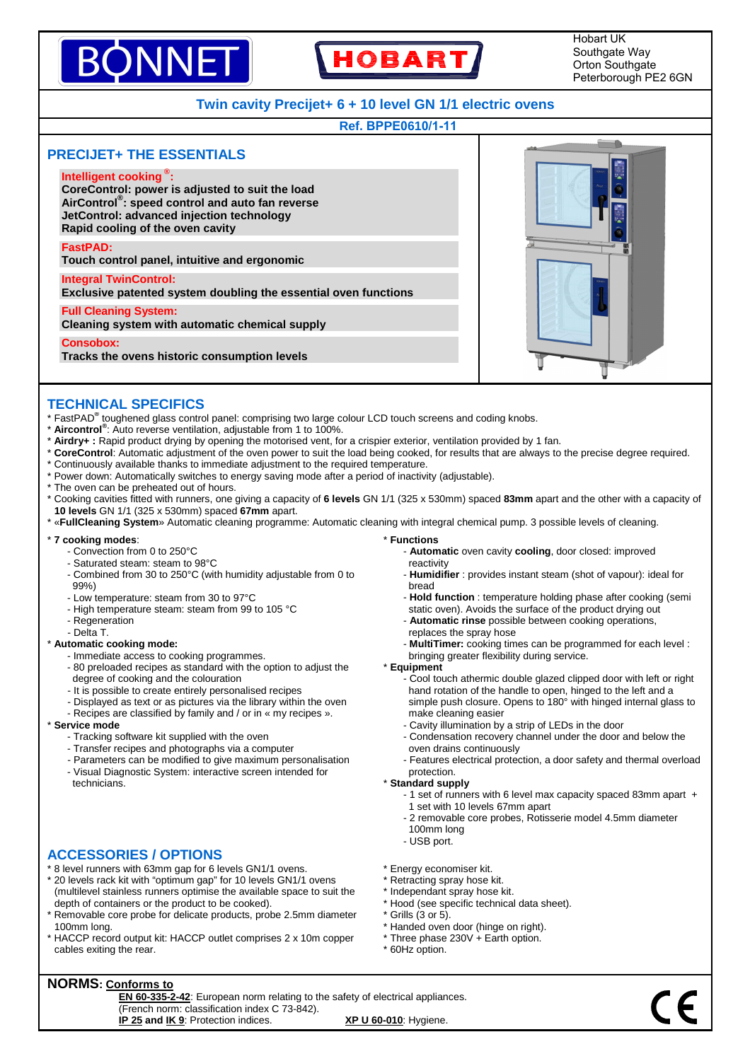# INNF **HOBART**

Hobart UK Southgate Way Orton Southgate Peterborough PE2 6GN

# **Twin cavity Precijet+ 6 + 10 level GN 1/1 electric ovens**

### **Ref. BPPE0610/1-11**



### **TECHNICAL SPECIFICS**

- \* FastPAD**®** toughened glass control panel: comprising two large colour LCD touch screens and coding knobs.
- \* **Aircontrol®** : Auto reverse ventilation, adjustable from 1 to 100%.
- \* **Airdry+ :** Rapid product drying by opening the motorised vent, for a crispier exterior, ventilation provided by 1 fan.
- \* **CoreControl**: Automatic adjustment of the oven power to suit the load being cooked, for results that are always to the precise degree required.
- \* Continuously available thanks to immediate adjustment to the required temperature.
- \* Power down: Automatically switches to energy saving mode after a period of inactivity (adjustable).
- \* The oven can be preheated out of hours.
- \* Cooking cavities fitted with runners, one giving a capacity of **6 levels** GN 1/1 (325 x 530mm) spaced **83mm** apart and the other with a capacity of **10 levels** GN 1/1 (325 x 530mm) spaced **67mm** apart.
- \* «**FullCleaning System**» Automatic cleaning programme: Automatic cleaning with integral chemical pump. 3 possible levels of cleaning.

#### \* **7 cooking modes**:

- Convection from 0 to 250°C
- Saturated steam: steam to 98°C
- Combined from 30 to 250°C (with humidity adjustable from 0 to 99%)
- Low temperature: steam from 30 to 97°C
- High temperature steam: steam from 99 to 105 °C
- Regeneration
- Delta T.

#### \* **Automatic cooking mode:**

- Immediate access to cooking programmes.
- 80 preloaded recipes as standard with the option to adjust the degree of cooking and the colouration
- It is possible to create entirely personalised recipes
- Displayed as text or as pictures via the library within the oven
- Recipes are classified by family and / or in « my recipes ».

#### \* **Service mode**

- Tracking software kit supplied with the oven
- Transfer recipes and photographs via a computer
- Parameters can be modified to give maximum personalisation
- Visual Diagnostic System: interactive screen intended for technicians.

### **ACCESSORIES / OPTIONS**

- \* 8 level runners with 63mm gap for 6 levels GN1/1 ovens.
- \* 20 levels rack kit with "optimum gap" for 10 levels GN1/1 ovens (multilevel stainless runners optimise the available space to suit the depth of containers or the product to be cooked).
- \* Removable core probe for delicate products, probe 2.5mm diameter 100mm long.
- \* HACCP record output kit: HACCP outlet comprises 2 x 10m copper cables exiting the rear.
- \* **Functions** - **Automatic** oven cavity **cooling**, door closed: improved reactivity
	- **Humidifier** : provides instant steam (shot of vapour): ideal for bread
	- **Hold function** : temperature holding phase after cooking (semi static oven). Avoids the surface of the product drying out
	- **Automatic rinse** possible between cooking operations, replaces the spray hose
	-
	- **MultiTimer:** cooking times can be programmed for each level : bringing greater flexibility during service.
- \* **Equipment**
	- Cool touch athermic double glazed clipped door with left or right hand rotation of the handle to open, hinged to the left and a simple push closure. Opens to 180° with hinged internal glass to make cleaning easier
	- Cavity illumination by a strip of LEDs in the door
	- Condensation recovery channel under the door and below the oven drains continuously
	- Features electrical protection, a door safety and thermal overload protection.

#### \* **Standard supply**

- 1 set of runners with 6 level max capacity spaced 83mm apart + 1 set with 10 levels 67mm apart
- 2 removable core probes, Rotisserie model 4.5mm diameter 100mm long
- USB port.
- \* Energy economiser kit.
- \* Retracting spray hose kit.
- \* Independant spray hose kit.
- \* Hood (see specific technical data sheet).
- $*$  Grills (3 or 5).
- \* Handed oven door (hinge on right).
- \* Three phase 230V + Earth option.
- \* 60Hz option.

# **NORMS: Conforms to**

**EN 60-335-2-42**: European norm relating to the safety of electrical appliances. (French norm: classification index C 73-842). **IP 25 and IK 9**: Protection indices. **XP U 60-010**: Hygiene.